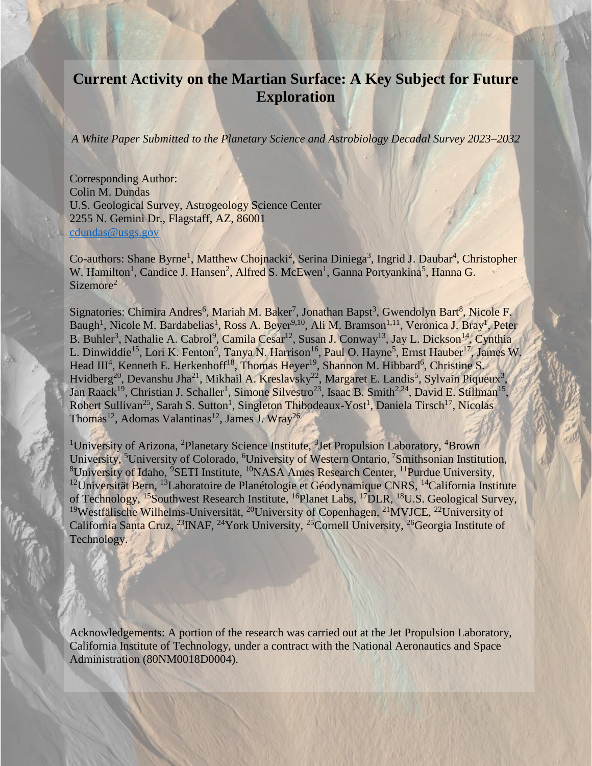# **Current Activity on the Martian Surface: A Key Subject for Future Exploration**

*A White Paper Submitted to the Planetary Science and Astrobiology Decadal Survey 2023–2032* 

Corresponding Author: Colin M. Dundas U.S. Geological Survey, Astrogeology Science Center 2255 N. Gemini Dr., Flagstaff, AZ, 86001 [cdundas@usgs.gov](mailto:cdundas@usgs.gov)

Co-authors: Shane Byrne<sup>1</sup>, Matthew Chojnacki<sup>2</sup>, Serina Diniega<sup>3</sup>, Ingrid J. Daubar<sup>4</sup>, Christopher W. Hamilton<sup>1</sup>, Candice J. Hansen<sup>2</sup>, Alfred S. McEwen<sup>1</sup>, Ganna Portyankina<sup>5</sup>, Hanna G. Sizemore<sup>2</sup>

Signatories: Chimira Andres<sup>6</sup>, Mariah M. Baker<sup>7</sup>, Jonathan Bapst<sup>3</sup>, Gwendolyn Bart<sup>8</sup>, Nicole F. Baugh<sup>1</sup>, Nicole M. Bardabelias<sup>1</sup>, Ross A. Beyer<sup>9,10</sup>, Ali M. Bramson<sup>1,11</sup>, Veronica J. Bray<sup>1</sup>, Peter B. Buhler<sup>3</sup>, Nathalie A. Cabrol<sup>9</sup>, Camila Cesar<sup>12</sup>, Susan J. Conway<sup>13</sup>, Jay L. Dickson<sup>14</sup>, Cynthia L. Dinwiddie<sup>15</sup>, Lori K. Fenton<sup>9</sup>, Tanya N. Harrison<sup>16</sup>, Paul O. Hayne<sup>5</sup>, Ernst Hauber<sup>17</sup>, James W. Head III<sup>4</sup>, Kenneth E. Herkenhoff<sup>18</sup>, Thomas Heyer<sup>19</sup>, Shannon M. Hibbard<sup>6</sup>, Christine S. Hvidberg<sup>20</sup>, Devanshu Jha<sup>21</sup>, Mikhail A. Kreslavsky<sup>22</sup>, Margaret E. Landis<sup>5</sup>, Sylvain Piqueux<sup>3</sup>, Jan Raack<sup>19</sup>, Christian J. Schaller<sup>1</sup>, Simone Silvestro<sup>23</sup>, Isaac B. Smith<sup>2,24</sup>, David E. Stillman<sup>15</sup>, Robert Sullivan<sup>25</sup>, Sarah S. Sutton<sup>1</sup>, Singleton Thibodeaux-Yost<sup>1</sup>, Daniela Tirsch<sup>17</sup>, Nicolas Thomas<sup>12</sup>, Adomas Valantinas<sup>12</sup>, James J. Wray<sup>26</sup>

<sup>1</sup>University of Arizona, <sup>2</sup>Planetary Science Institute, <sup>3</sup>Jet Propulsion Laboratory, <sup>4</sup>Brown University, <sup>5</sup>University of Colorado, <sup>6</sup>University of Western Ontario, <sup>7</sup>Smithsonian Institution, <sup>8</sup>University of Idaho, <sup>9</sup>SETI Institute, <sup>10</sup>NASA Ames Research Center, <sup>11</sup>Purdue University, <sup>12</sup>Universität Bern, <sup>13</sup>Laboratoire de Planétologie et Géodynamique CNRS, <sup>14</sup>California Institute of Technology, <sup>15</sup>Southwest Research Institute, <sup>16</sup>Planet Labs, <sup>17</sup>DLR, <sup>18</sup>U.S. Geological Survey, <sup>19</sup>Westfälische Wilhelms-Universität, <sup>20</sup>University of Copenhagen, <sup>21</sup>MVJCE, <sup>22</sup>University of California Santa Cruz, <sup>23</sup>INAF, <sup>24</sup>York University, <sup>25</sup>Cornell University, <sup>26</sup>Georgia Institute of Technology.

Acknowledgements: A portion of the research was carried out at the Jet Propulsion Laboratory, California Institute of Technology, under a contract with the National Aeronautics and Space Administration (80NM0018D0004).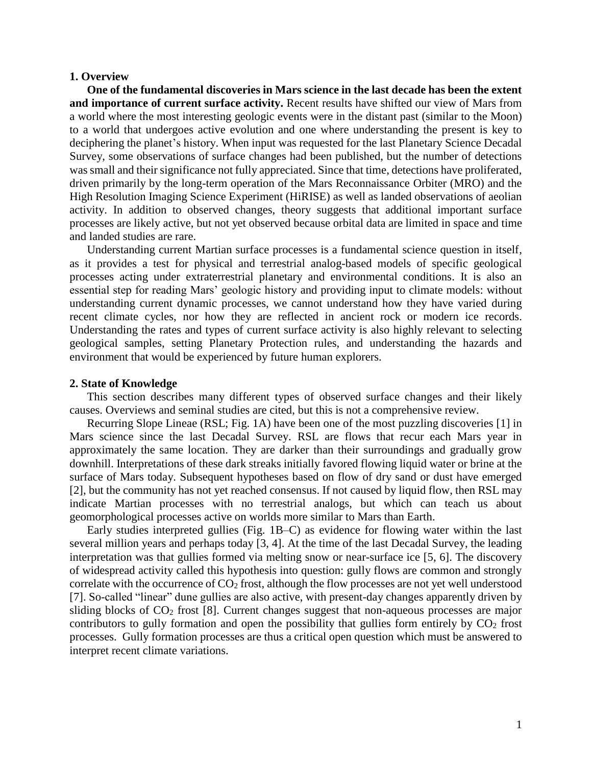### **1. Overview**

**One of the fundamental discoveries in Mars science in the last decade has been the extent and importance of current surface activity.** Recent results have shifted our view of Mars from a world where the most interesting geologic events were in the distant past (similar to the Moon) to a world that undergoes active evolution and one where understanding the present is key to deciphering the planet's history. When input was requested for the last Planetary Science Decadal Survey, some observations of surface changes had been published, but the number of detections was small and their significance not fully appreciated. Since that time, detections have proliferated, driven primarily by the long-term operation of the Mars Reconnaissance Orbiter (MRO) and the High Resolution Imaging Science Experiment (HiRISE) as well as landed observations of aeolian activity. In addition to observed changes, theory suggests that additional important surface processes are likely active, but not yet observed because orbital data are limited in space and time and landed studies are rare.

Understanding current Martian surface processes is a fundamental science question in itself, as it provides a test for physical and terrestrial analog-based models of specific geological processes acting under extraterrestrial planetary and environmental conditions. It is also an essential step for reading Mars' geologic history and providing input to climate models: without understanding current dynamic processes, we cannot understand how they have varied during recent climate cycles, nor how they are reflected in ancient rock or modern ice records. Understanding the rates and types of current surface activity is also highly relevant to selecting geological samples, setting Planetary Protection rules, and understanding the hazards and environment that would be experienced by future human explorers.

## **2. State of Knowledge**

This section describes many different types of observed surface changes and their likely causes. Overviews and seminal studies are cited, but this is not a comprehensive review.

Recurring Slope Lineae (RSL; Fig. 1A) have been one of the most puzzling discoveries [1] in Mars science since the last Decadal Survey. RSL are flows that recur each Mars year in approximately the same location. They are darker than their surroundings and gradually grow downhill. Interpretations of these dark streaks initially favored flowing liquid water or brine at the surface of Mars today. Subsequent hypotheses based on flow of dry sand or dust have emerged [2], but the community has not yet reached consensus. If not caused by liquid flow, then RSL may indicate Martian processes with no terrestrial analogs, but which can teach us about geomorphological processes active on worlds more similar to Mars than Earth.

Early studies interpreted gullies (Fig. 1B–C) as evidence for flowing water within the last several million years and perhaps today [3, 4]. At the time of the last Decadal Survey, the leading interpretation was that gullies formed via melting snow or near-surface ice [5, 6]. The discovery of widespread activity called this hypothesis into question: gully flows are common and strongly correlate with the occurrence of  $CO<sub>2</sub>$  frost, although the flow processes are not yet well understood [7]. So-called "linear" dune gullies are also active, with present-day changes apparently driven by sliding blocks of  $CO<sub>2</sub>$  frost [8]. Current changes suggest that non-aqueous processes are major contributors to gully formation and open the possibility that gullies form entirely by  $CO<sub>2</sub>$  frost processes. Gully formation processes are thus a critical open question which must be answered to interpret recent climate variations.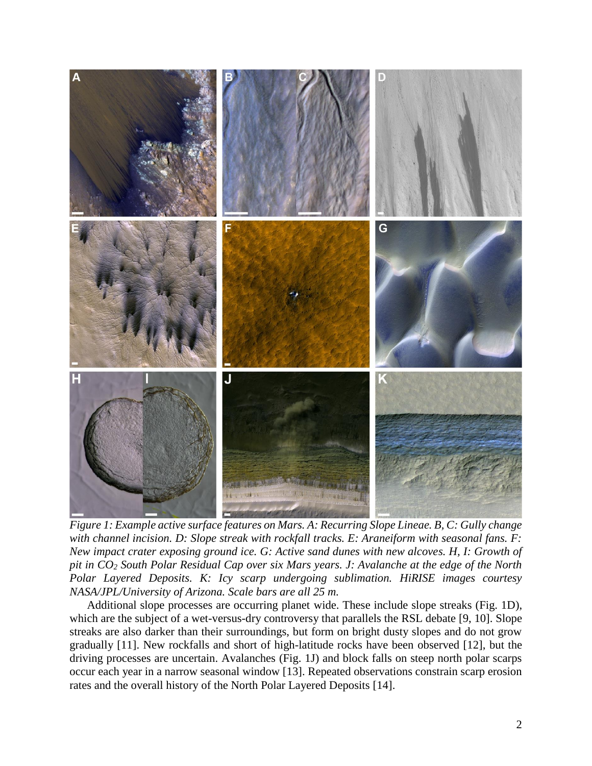

*Figure 1: Example active surface features on Mars. A: Recurring Slope Lineae. B, C: Gully change with channel incision. D: Slope streak with rockfall tracks. E: Araneiform with seasonal fans. F: New impact crater exposing ground ice. G: Active sand dunes with new alcoves. H, I: Growth of pit in CO<sup>2</sup> South Polar Residual Cap over six Mars years. J: Avalanche at the edge of the North Polar Layered Deposits. K: Icy scarp undergoing sublimation. HiRISE images courtesy NASA/JPL/University of Arizona. Scale bars are all 25 m.* 

Additional slope processes are occurring planet wide. These include slope streaks (Fig. 1D), which are the subject of a wet-versus-dry controversy that parallels the RSL debate [9, 10]. Slope streaks are also darker than their surroundings, but form on bright dusty slopes and do not grow gradually [11]. New rockfalls and short of high-latitude rocks have been observed [12], but the driving processes are uncertain. Avalanches (Fig. 1J) and block falls on steep north polar scarps occur each year in a narrow seasonal window [13]. Repeated observations constrain scarp erosion rates and the overall history of the North Polar Layered Deposits [14].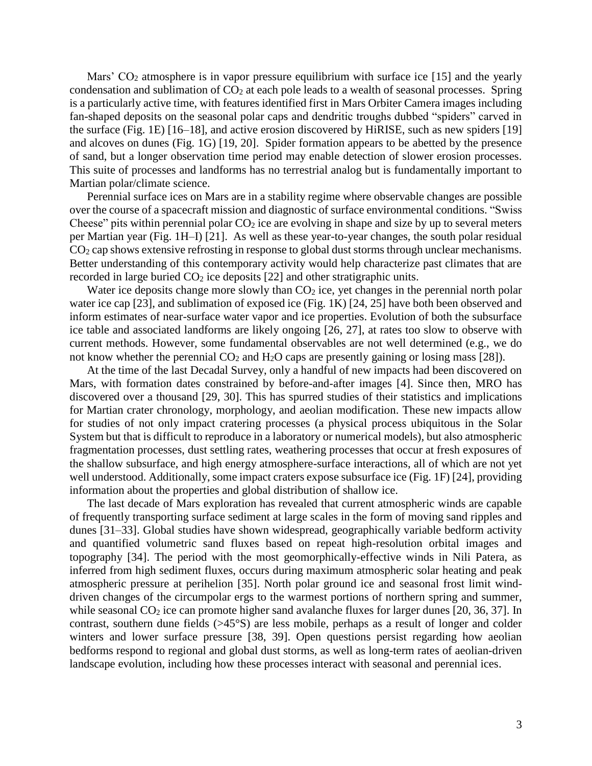Mars'  $CO<sub>2</sub>$  atmosphere is in vapor pressure equilibrium with surface ice [15] and the yearly condensation and sublimation of  $CO<sub>2</sub>$  at each pole leads to a wealth of seasonal processes. Spring is a particularly active time, with features identified first in Mars Orbiter Camera images including fan-shaped deposits on the seasonal polar caps and dendritic troughs dubbed "spiders" carved in the surface (Fig. 1E) [16–18], and active erosion discovered by HiRISE, such as new spiders [19] and alcoves on dunes (Fig. 1G) [19, 20]. Spider formation appears to be abetted by the presence of sand, but a longer observation time period may enable detection of slower erosion processes. This suite of processes and landforms has no terrestrial analog but is fundamentally important to Martian polar/climate science.

Perennial surface ices on Mars are in a stability regime where observable changes are possible over the course of a spacecraft mission and diagnostic of surface environmental conditions. "Swiss Cheese" pits within perennial polar  $CO<sub>2</sub>$  ice are evolving in shape and size by up to several meters per Martian year (Fig. 1H–I) [21]. As well as these year-to-year changes, the south polar residual CO<sup>2</sup> cap shows extensive refrosting in response to global dust storms through unclear mechanisms. Better understanding of this contemporary activity would help characterize past climates that are recorded in large buried  $CO<sub>2</sub>$  ice deposits [22] and other stratigraphic units.

Water ice deposits change more slowly than  $CO<sub>2</sub>$  ice, yet changes in the perennial north polar water ice cap [23], and sublimation of exposed ice (Fig. 1K) [24, 25] have both been observed and inform estimates of near-surface water vapor and ice properties. Evolution of both the subsurface ice table and associated landforms are likely ongoing [26, 27], at rates too slow to observe with current methods. However, some fundamental observables are not well determined (e.g., we do not know whether the perennial  $CO_2$  and  $H_2O$  caps are presently gaining or losing mass [28]).

At the time of the last Decadal Survey, only a handful of new impacts had been discovered on Mars, with formation dates constrained by before-and-after images [4]. Since then, MRO has discovered over a thousand [29, 30]. This has spurred studies of their statistics and implications for Martian crater chronology, morphology, and aeolian modification. These new impacts allow for studies of not only impact cratering processes (a physical process ubiquitous in the Solar System but that is difficult to reproduce in a laboratory or numerical models), but also atmospheric fragmentation processes, dust settling rates, weathering processes that occur at fresh exposures of the shallow subsurface, and high energy atmosphere-surface interactions, all of which are not yet well understood. Additionally, some impact craters expose subsurface ice (Fig. 1F) [24], providing information about the properties and global distribution of shallow ice.

The last decade of Mars exploration has revealed that current atmospheric winds are capable of frequently transporting surface sediment at large scales in the form of moving sand ripples and dunes [31–33]. Global studies have shown widespread, geographically variable bedform activity and quantified volumetric sand fluxes based on repeat high-resolution orbital images and topography [34]. The period with the most geomorphically-effective winds in Nili Patera, as inferred from high sediment fluxes, occurs during maximum atmospheric solar heating and peak atmospheric pressure at perihelion [35]. North polar ground ice and seasonal frost limit winddriven changes of the circumpolar ergs to the warmest portions of northern spring and summer, while seasonal  $CO<sub>2</sub>$  ice can promote higher sand avalanche fluxes for larger dunes [20, 36, 37]. In contrast, southern dune fields (>45°S) are less mobile, perhaps as a result of longer and colder winters and lower surface pressure [38, 39]. Open questions persist regarding how aeolian bedforms respond to regional and global dust storms, as well as long-term rates of aeolian-driven landscape evolution, including how these processes interact with seasonal and perennial ices.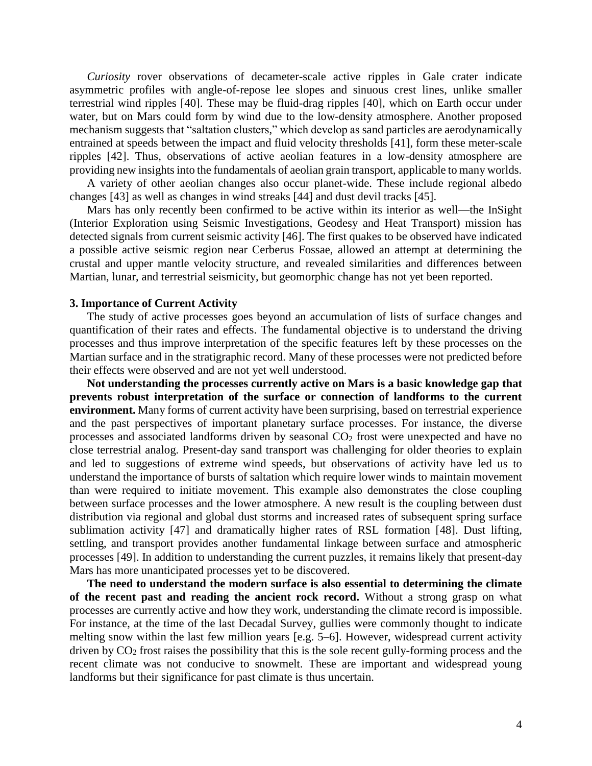*Curiosity* rover observations of decameter-scale active ripples in Gale crater indicate asymmetric profiles with angle-of-repose lee slopes and sinuous crest lines, unlike smaller terrestrial wind ripples [40]. These may be fluid-drag ripples [40], which on Earth occur under water, but on Mars could form by wind due to the low-density atmosphere. Another proposed mechanism suggests that "saltation clusters," which develop as sand particles are aerodynamically entrained at speeds between the impact and fluid velocity thresholds [41], form these meter-scale ripples [42]. Thus, observations of active aeolian features in a low-density atmosphere are providing new insights into the fundamentals of aeolian grain transport, applicable to many worlds.

A variety of other aeolian changes also occur planet-wide. These include regional albedo changes [43] as well as changes in wind streaks [44] and dust devil tracks [45].

Mars has only recently been confirmed to be active within its interior as well—the InSight (Interior Exploration using Seismic Investigations, Geodesy and Heat Transport) mission has detected signals from current seismic activity [46]. The first quakes to be observed have indicated a possible active seismic region near Cerberus Fossae, allowed an attempt at determining the crustal and upper mantle velocity structure, and revealed similarities and differences between Martian, lunar, and terrestrial seismicity, but geomorphic change has not yet been reported.

## **3. Importance of Current Activity**

The study of active processes goes beyond an accumulation of lists of surface changes and quantification of their rates and effects. The fundamental objective is to understand the driving processes and thus improve interpretation of the specific features left by these processes on the Martian surface and in the stratigraphic record. Many of these processes were not predicted before their effects were observed and are not yet well understood.

**Not understanding the processes currently active on Mars is a basic knowledge gap that prevents robust interpretation of the surface or connection of landforms to the current environment.** Many forms of current activity have been surprising, based on terrestrial experience and the past perspectives of important planetary surface processes. For instance, the diverse processes and associated landforms driven by seasonal CO<sup>2</sup> frost were unexpected and have no close terrestrial analog. Present-day sand transport was challenging for older theories to explain and led to suggestions of extreme wind speeds, but observations of activity have led us to understand the importance of bursts of saltation which require lower winds to maintain movement than were required to initiate movement. This example also demonstrates the close coupling between surface processes and the lower atmosphere. A new result is the coupling between dust distribution via regional and global dust storms and increased rates of subsequent spring surface sublimation activity [47] and dramatically higher rates of RSL formation [48]. Dust lifting, settling, and transport provides another fundamental linkage between surface and atmospheric processes [49]. In addition to understanding the current puzzles, it remains likely that present-day Mars has more unanticipated processes yet to be discovered.

**The need to understand the modern surface is also essential to determining the climate of the recent past and reading the ancient rock record.** Without a strong grasp on what processes are currently active and how they work, understanding the climate record is impossible. For instance, at the time of the last Decadal Survey, gullies were commonly thought to indicate melting snow within the last few million years [e.g. 5–6]. However, widespread current activity driven by CO<sup>2</sup> frost raises the possibility that this is the sole recent gully-forming process and the recent climate was not conducive to snowmelt. These are important and widespread young landforms but their significance for past climate is thus uncertain.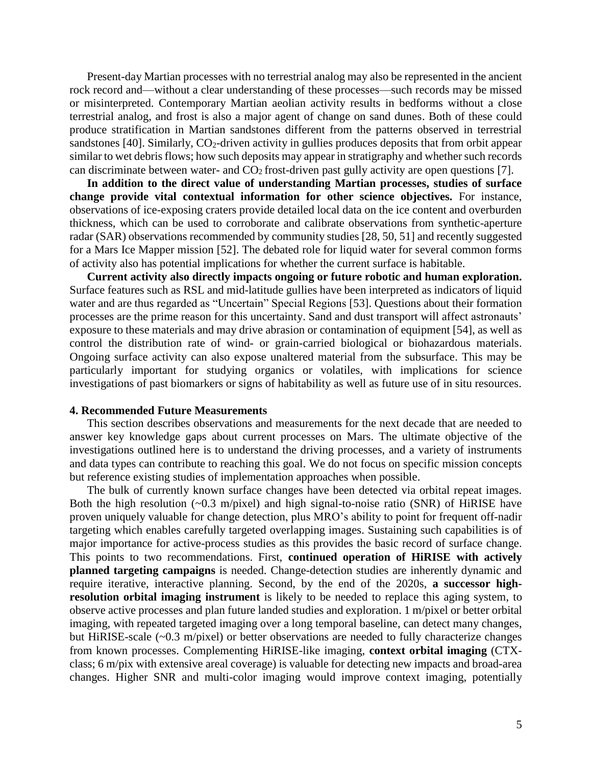Present-day Martian processes with no terrestrial analog may also be represented in the ancient rock record and—without a clear understanding of these processes—such records may be missed or misinterpreted. Contemporary Martian aeolian activity results in bedforms without a close terrestrial analog, and frost is also a major agent of change on sand dunes. Both of these could produce stratification in Martian sandstones different from the patterns observed in terrestrial sandstones [40]. Similarly, CO<sub>2</sub>-driven activity in gullies produces deposits that from orbit appear similar to wet debris flows; how such deposits may appear in stratigraphy and whether such records can discriminate between water- and  $CO<sub>2</sub>$  frost-driven past gully activity are open questions [7].

**In addition to the direct value of understanding Martian processes, studies of surface change provide vital contextual information for other science objectives.** For instance, observations of ice-exposing craters provide detailed local data on the ice content and overburden thickness, which can be used to corroborate and calibrate observations from synthetic-aperture radar (SAR) observations recommended by community studies [28, 50, 51] and recently suggested for a Mars Ice Mapper mission [52]. The debated role for liquid water for several common forms of activity also has potential implications for whether the current surface is habitable.

**Current activity also directly impacts ongoing or future robotic and human exploration.** Surface features such as RSL and mid-latitude gullies have been interpreted as indicators of liquid water and are thus regarded as "Uncertain" Special Regions [53]. Questions about their formation processes are the prime reason for this uncertainty. Sand and dust transport will affect astronauts' exposure to these materials and may drive abrasion or contamination of equipment [54], as well as control the distribution rate of wind- or grain-carried biological or biohazardous materials. Ongoing surface activity can also expose unaltered material from the subsurface. This may be particularly important for studying organics or volatiles, with implications for science investigations of past biomarkers or signs of habitability as well as future use of in situ resources.

## **4. Recommended Future Measurements**

This section describes observations and measurements for the next decade that are needed to answer key knowledge gaps about current processes on Mars. The ultimate objective of the investigations outlined here is to understand the driving processes, and a variety of instruments and data types can contribute to reaching this goal. We do not focus on specific mission concepts but reference existing studies of implementation approaches when possible.

The bulk of currently known surface changes have been detected via orbital repeat images. Both the high resolution  $(-0.3 \text{ m/pixel})$  and high signal-to-noise ratio (SNR) of HiRISE have proven uniquely valuable for change detection, plus MRO's ability to point for frequent off-nadir targeting which enables carefully targeted overlapping images. Sustaining such capabilities is of major importance for active-process studies as this provides the basic record of surface change. This points to two recommendations. First, **continued operation of HiRISE with actively planned targeting campaigns** is needed. Change-detection studies are inherently dynamic and require iterative, interactive planning. Second, by the end of the 2020s, **a successor highresolution orbital imaging instrument** is likely to be needed to replace this aging system, to observe active processes and plan future landed studies and exploration. 1 m/pixel or better orbital imaging, with repeated targeted imaging over a long temporal baseline, can detect many changes, but HiRISE-scale (~0.3 m/pixel) or better observations are needed to fully characterize changes from known processes. Complementing HiRISE-like imaging, **context orbital imaging** (CTXclass; 6 m/pix with extensive areal coverage) is valuable for detecting new impacts and broad-area changes. Higher SNR and multi-color imaging would improve context imaging, potentially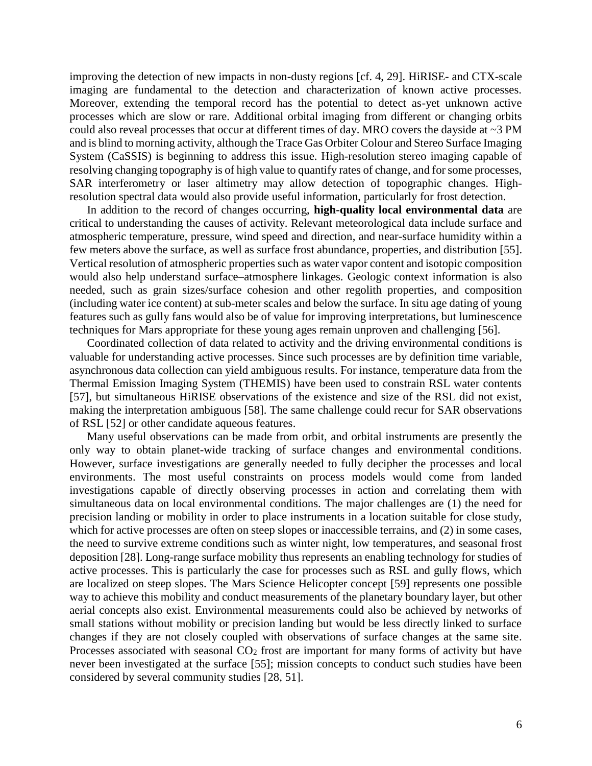improving the detection of new impacts in non-dusty regions [cf. 4, 29]. HiRISE- and CTX-scale imaging are fundamental to the detection and characterization of known active processes. Moreover, extending the temporal record has the potential to detect as-yet unknown active processes which are slow or rare. Additional orbital imaging from different or changing orbits could also reveal processes that occur at different times of day. MRO covers the dayside at ~3 PM and is blind to morning activity, although the Trace Gas Orbiter Colour and Stereo Surface Imaging System (CaSSIS) is beginning to address this issue. High-resolution stereo imaging capable of resolving changing topography is of high value to quantify rates of change, and for some processes, SAR interferometry or laser altimetry may allow detection of topographic changes. Highresolution spectral data would also provide useful information, particularly for frost detection.

In addition to the record of changes occurring, **high-quality local environmental data** are critical to understanding the causes of activity. Relevant meteorological data include surface and atmospheric temperature, pressure, wind speed and direction, and near-surface humidity within a few meters above the surface, as well as surface frost abundance, properties, and distribution [55]. Vertical resolution of atmospheric properties such as water vapor content and isotopic composition would also help understand surface–atmosphere linkages. Geologic context information is also needed, such as grain sizes/surface cohesion and other regolith properties, and composition (including water ice content) at sub-meter scales and below the surface. In situ age dating of young features such as gully fans would also be of value for improving interpretations, but luminescence techniques for Mars appropriate for these young ages remain unproven and challenging [56].

Coordinated collection of data related to activity and the driving environmental conditions is valuable for understanding active processes. Since such processes are by definition time variable, asynchronous data collection can yield ambiguous results. For instance, temperature data from the Thermal Emission Imaging System (THEMIS) have been used to constrain RSL water contents [57], but simultaneous HiRISE observations of the existence and size of the RSL did not exist, making the interpretation ambiguous [58]. The same challenge could recur for SAR observations of RSL [52] or other candidate aqueous features.

Many useful observations can be made from orbit, and orbital instruments are presently the only way to obtain planet-wide tracking of surface changes and environmental conditions. However, surface investigations are generally needed to fully decipher the processes and local environments. The most useful constraints on process models would come from landed investigations capable of directly observing processes in action and correlating them with simultaneous data on local environmental conditions. The major challenges are (1) the need for precision landing or mobility in order to place instruments in a location suitable for close study, which for active processes are often on steep slopes or inaccessible terrains, and (2) in some cases, the need to survive extreme conditions such as winter night, low temperatures, and seasonal frost deposition [28]. Long-range surface mobility thus represents an enabling technology for studies of active processes. This is particularly the case for processes such as RSL and gully flows, which are localized on steep slopes. The Mars Science Helicopter concept [59] represents one possible way to achieve this mobility and conduct measurements of the planetary boundary layer, but other aerial concepts also exist. Environmental measurements could also be achieved by networks of small stations without mobility or precision landing but would be less directly linked to surface changes if they are not closely coupled with observations of surface changes at the same site. Processes associated with seasonal  $CO<sub>2</sub>$  frost are important for many forms of activity but have never been investigated at the surface [55]; mission concepts to conduct such studies have been considered by several community studies [28, 51].